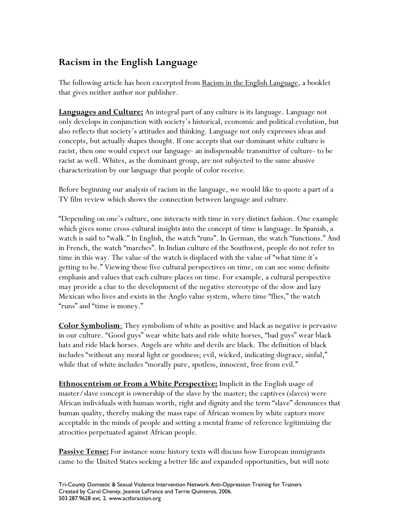## **Racism in the English Language**

The following article has been excerpted from Racism in the English Language, a booklet that gives neither author nor publisher.

**Languages and Culture:** An integral part of any culture is its language. Language not only develops in conjunction with society's historical, economic and political evolution, but also reflects that society's attitudes and thinking. Language not only expresses ideas and concepts, but actually shapes thought. If one accepts that our dominant white culture is racist, then one would expect our language- an indispensable transmitter of culture- to be racist as well. Whites, as the dominant group, are not subjected to the same abusive characterization by our language that people of color receive.

Before beginning our analysis of racism in the language, we would like to quote a part of a TV film review which shows the connection between language and culture.

"Depending on one's culture, one interacts with time in very distinct fashion. One example which gives some cross-cultural insights into the concept of time is language. In Spanish, a watch is said to "walk." In English, the watch "runs". In German, the watch "functions." And in French, the watch "marches". In Indian culture of the Southwest, people do not refer to time in this way. The value of the watch is displaced with the value of "what time it's getting to be." Viewing these five cultural perspectives on time, on can see some definite emphasis and values that each culture places on time. For example, a cultural perspective may provide a clue to the development of the negative stereotype of the slow and lazy Mexican who lives and exists in the Anglo value system, where time "flies," the watch "runs" and "time is money."

**Color Symbolism**: They symbolism of white as positive and black as negative is pervasive in our culture. "Good guys" wear white hats and ride white horses, "bad guys" wear black hats and ride black horses. Angels are white and devils are black. The definition of black includes "without any moral light or goodness; evil, wicked, indicating disgrace, sinful," while that of white includes "morally pure, spotless, innocent, free from evil."

**Ethnocentrism or From a White Perspective:** Implicit in the English usage of master/slave concept is ownership of the slave by the master; the captives (slaves) were African individuals with human worth, right and dignity and the term "slave" denounces that human quality, thereby making the mass rape of African women by white captors more acceptable in the minds of people and setting a mental frame of reference legitimizing the atrocities perpetuated against African people.

**Passive Tense:** For instance some history texts will discuss how European immigrants came to the United States seeking a better life and expanded opportunities, but will note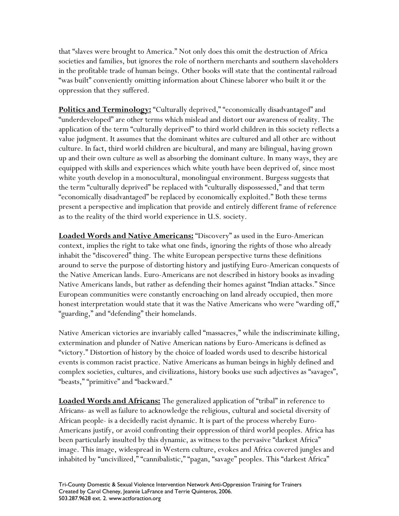that "slaves were brought to America." Not only does this omit the destruction of Africa societies and families, but ignores the role of northern merchants and southern slaveholders in the profitable trade of human beings. Other books will state that the continental railroad "was built" conveniently omitting information about Chinese laborer who built it or the oppression that they suffered.

**Politics and Terminology:** "Culturally deprived," "economically disadvantaged" and "underdeveloped" are other terms which mislead and distort our awareness of reality. The application of the term "culturally deprived" to third world children in this society reflects a value judgment. It assumes that the dominant whites are cultured and all other are without culture. In fact, third world children are bicultural, and many are bilingual, having grown up and their own culture as well as absorbing the dominant culture. In many ways, they are equipped with skills and experiences which white youth have been deprived of, since most white youth develop in a monocultural, monolingual environment. Burgess suggests that the term "culturally deprived" be replaced with "culturally dispossessed," and that term "economically disadvantaged" be replaced by economically exploited." Both these terms present a perspective and implication that provide and entirely different frame of reference as to the reality of the third world experience in U.S. society.

**Loaded Words and Native Americans:** "Discovery" as used in the Euro-American context, implies the right to take what one finds, ignoring the rights of those who already inhabit the "discovered" thing. The white European perspective turns these definitions around to serve the purpose of distorting history and justifying Euro-American conquests of the Native American lands. Euro-Americans are not described in history books as invading Native Americans lands, but rather as defending their homes against "Indian attacks." Since European communities were constantly encroaching on land already occupied, then more honest interpretation would state that it was the Native Americans who were "warding off," "guarding," and "defending" their homelands.

Native American victories are invariably called "massacres," while the indiscriminate killing, extermination and plunder of Native American nations by Euro-Americans is defined as "victory." Distortion of history by the choice of loaded words used to describe historical events is common racist practice. Native Americans as human beings in highly defined and complex societies, cultures, and civilizations, history books use such adjectives as "savages", "beasts," "primitive" and "backward."

**Loaded Words and Africans:** The generalized application of "tribal" in reference to Africans- as well as failure to acknowledge the religious, cultural and societal diversity of African people- is a decidedly racist dynamic. It is part of the process whereby Euro-Americans justify, or avoid confronting their oppression of third world peoples. Africa has been particularly insulted by this dynamic, as witness to the pervasive "darkest Africa" image. This image, widespread in Western culture, evokes and Africa covered jungles and inhabited by "uncivilized," "cannibalistic," "pagan, "savage" peoples. This "darkest Africa"